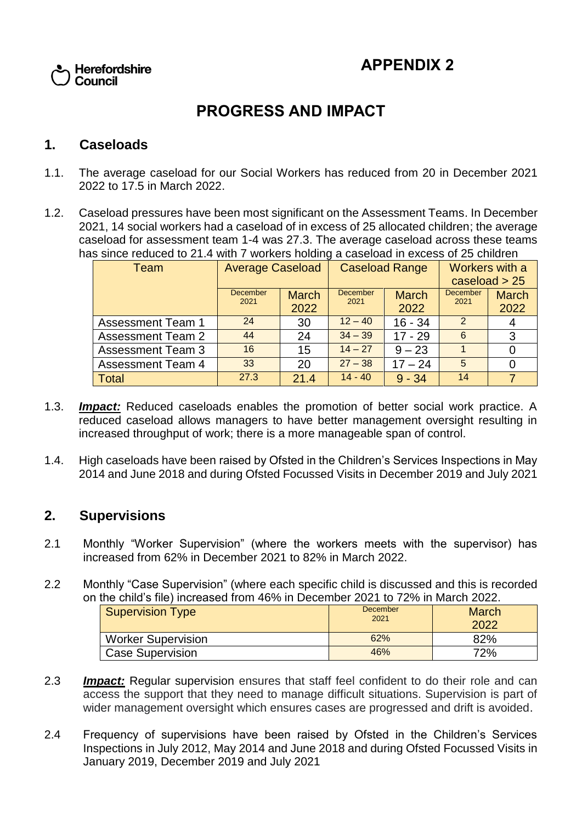

# **PROGRESS AND IMPACT**

#### **1. Caseloads**

- 1.1. The average caseload for our Social Workers has reduced from 20 in December 2021 2022 to 17.5 in March 2022.
- 1.2. Caseload pressures have been most significant on the Assessment Teams. In December 2021, 14 social workers had a caseload of in excess of 25 allocated children; the average caseload for assessment team 1-4 was 27.3. The average caseload across these teams has since reduced to 21.4 with 7 workers holding a caseload in excess of 25 children

| Team                     | <b>Average Caseload</b> |              | <b>Caseload Range</b>   |              | Workers with a          |              |
|--------------------------|-------------------------|--------------|-------------------------|--------------|-------------------------|--------------|
|                          |                         |              |                         |              | caseload $> 25$         |              |
|                          | <b>December</b><br>2021 | <b>March</b> | <b>December</b><br>2021 | <b>March</b> | <b>December</b><br>2021 | <b>March</b> |
|                          |                         | 2022         |                         | 2022         |                         | 2022         |
| <b>Assessment Team 1</b> | 24                      | 30           | $12 - 40$               | $16 - 34$    | $\overline{2}$          |              |
| <b>Assessment Team 2</b> | 44                      | 24           | $34 - 39$               | $17 - 29$    | 6                       | 3            |
| <b>Assessment Team 3</b> | 16                      | 15           | $14 - 27$               | $9 - 23$     |                         |              |
| <b>Assessment Team 4</b> | 33                      | 20           | $27 - 38$               | $17 - 24$    | 5                       |              |
| <b>Total</b>             | 27.3                    | 21.4         | $14 - 40$               | $9 - 34$     | 14                      |              |

- 1.3. *Impact:* Reduced caseloads enables the promotion of better social work practice. A reduced caseload allows managers to have better management oversight resulting in increased throughput of work; there is a more manageable span of control.
- 1.4. High caseloads have been raised by Ofsted in the Children's Services Inspections in May 2014 and June 2018 and during Ofsted Focussed Visits in December 2019 and July 2021

#### **2. Supervisions**

- 2.1 Monthly "Worker Supervision" (where the workers meets with the supervisor) has increased from 62% in December 2021 to 82% in March 2022.
- 2.2 Monthly "Case Supervision" (where each specific child is discussed and this is recorded on the child's file) increased from 46% in December 2021 to 72% in March 2022.

| <b>Supervision Type</b>   | December<br>2021 | <b>March</b><br>2022 |
|---------------------------|------------------|----------------------|
| <b>Worker Supervision</b> | 62%              | 82%                  |
| <b>Case Supervision</b>   | 46%              | 72%                  |

- 2.3 *Impact:* Regular supervision ensures that staff feel confident to do their role and can access the support that they need to manage difficult situations. Supervision is part of wider management oversight which ensures cases are progressed and drift is avoided.
- 2.4 Frequency of supervisions have been raised by Ofsted in the Children's Services Inspections in July 2012, May 2014 and June 2018 and during Ofsted Focussed Visits in January 2019, December 2019 and July 2021